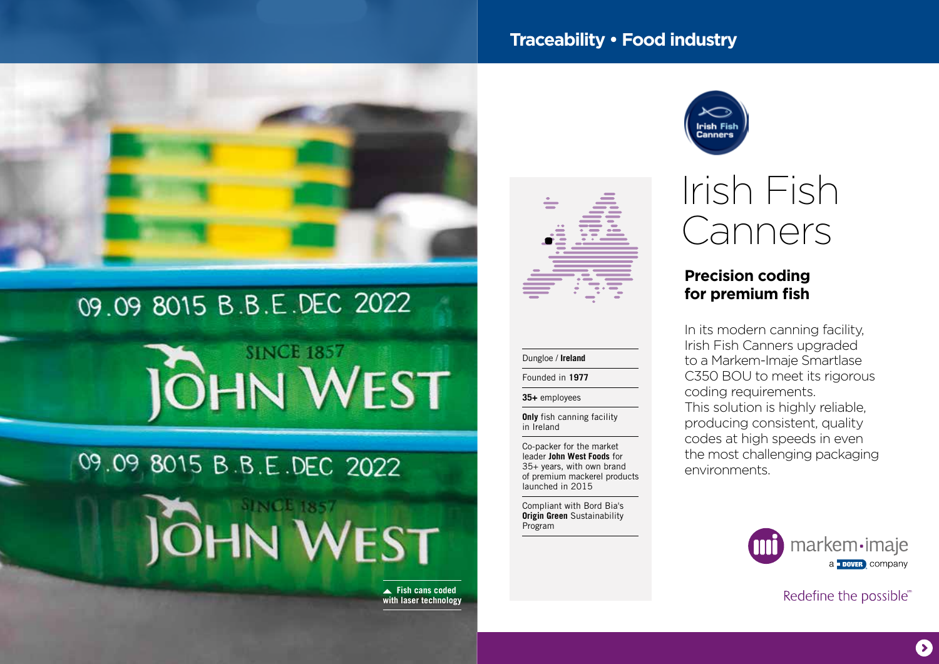## **Traceability • Food industry**



## 09.09 8015 B.B.E.DEC 2022





 **Fish cans coded with laser technology**



#### Dungloe / **Ireland**

#### Founded in **1977**

**35+** employees

**Only** fish canning facility in Ireland

Co-packer for the market leader **John West Foods** for 35+ years, with own brand of premium mackerel products launched in 2015

Compliant with Bord Bia's **Origin Green** Sustainability Program



# Irish Fish Canners

## **Precision coding for premium fish**

In its modern canning facility, Irish Fish Canners upgraded to a Markem-Imaje Smartlase C350 BOU to meet its rigorous coding requirements. This solution is highly reliable, producing consistent, quality codes at high speeds in even the most challenging packaging environments.



Redefine the possible®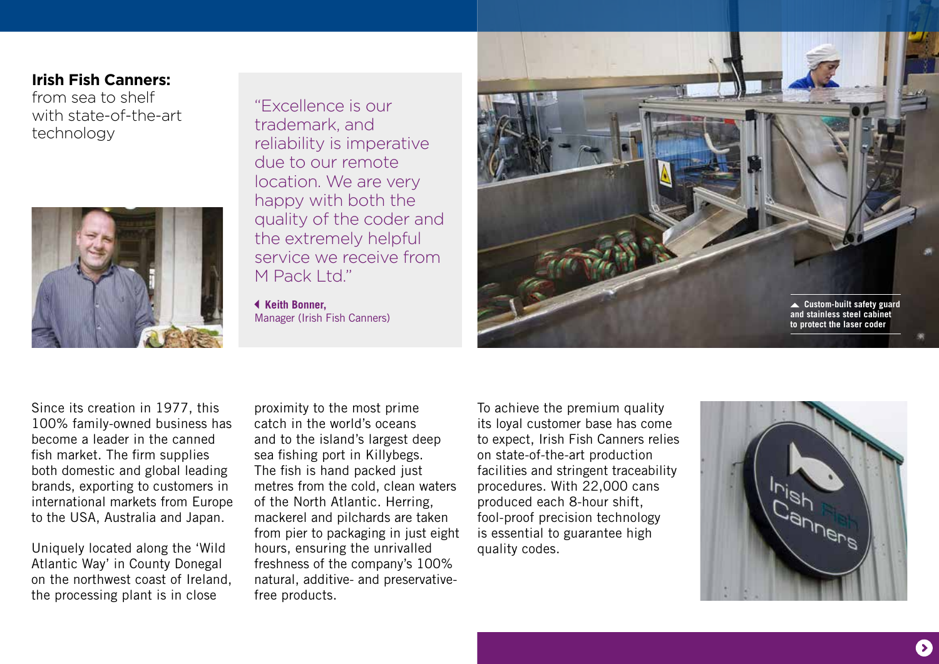### **Irish Fish Canners:**

from sea to shelf with state-of-the-art technology



"Excellence is our trademark, and reliability is imperative due to our remote location. We are very happy with both the quality of the coder and the extremely helpful service we receive from M Pack I td"

 **Keith Bonner,**  Manager (Irish Fish Canners)



Since its creation in 1977, this 100% family-owned business has become a leader in the canned fish market. The firm supplies both domestic and global leading brands, exporting to customers in international markets from Europe to the USA, Australia and Japan.

Uniquely located along the 'Wild Atlantic Way' in County Donegal on the northwest coast of Ireland, the processing plant is in close

proximity to the most prime catch in the world's oceans and to the island's largest deep sea fishing port in Killybegs. The fish is hand packed just metres from the cold, clean waters of the North Atlantic. Herring, mackerel and pilchards are taken from pier to packaging in just eight hours, ensuring the unrivalled freshness of the company's 100% natural, additive- and preservativefree products.

To achieve the premium quality its loyal customer base has come to expect, Irish Fish Canners relies on state-of-the-art production facilities and stringent traceability procedures. With 22,000 cans produced each 8-hour shift, fool-proof precision technology is essential to guarantee high quality codes.